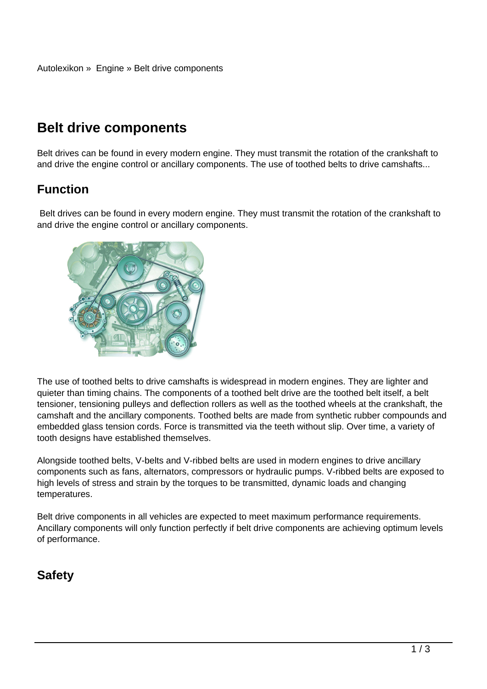# **Belt drive components**

Belt drives can be found in every modern engine. They must transmit the rotation of the crankshaft to and drive the engine control or ancillary components. The use of toothed belts to drive camshafts...

### **Function**

 Belt drives can be found in every modern engine. They must transmit the rotation of the crankshaft to and drive the engine control or ancillary components.



The use of toothed belts to drive camshafts is widespread in modern engines. They are lighter and quieter than timing chains. The components of a toothed belt drive are the toothed belt itself, a belt tensioner, tensioning pulleys and deflection rollers as well as the toothed wheels at the crankshaft, the camshaft and the ancillary components. Toothed belts are made from synthetic rubber compounds and embedded glass tension cords. Force is transmitted via the teeth without slip. Over time, a variety of tooth designs have established themselves.

Alongside toothed belts, V-belts and V-ribbed belts are used in modern engines to drive ancillary components such as fans, alternators, compressors or hydraulic pumps. V-ribbed belts are exposed to high levels of stress and strain by the torques to be transmitted, dynamic loads and changing temperatures.

Belt drive components in all vehicles are expected to meet maximum performance requirements. Ancillary components will only function perfectly if belt drive components are achieving optimum levels of performance.

### **Safety**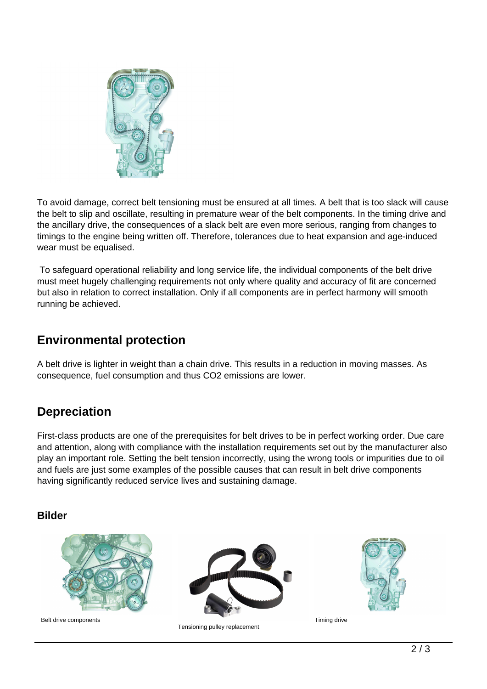

To avoid damage, correct belt tensioning must be ensured at all times. A belt that is too slack will cause the belt to slip and oscillate, resulting in premature wear of the belt components. In the timing drive and the ancillary drive, the consequences of a slack belt are even more serious, ranging from changes to timings to the engine being written off. Therefore, tolerances due to heat expansion and age-induced wear must be equalised.

 To safeguard operational reliability and long service life, the individual components of the belt drive must meet hugely challenging requirements not only where quality and accuracy of fit are concerned but also in relation to correct installation. Only if all components are in perfect harmony will smooth running be achieved.

#### **Environmental protection**

A belt drive is lighter in weight than a chain drive. This results in a reduction in moving masses. As consequence, fuel consumption and thus CO2 emissions are lower.

## **Depreciation**

First-class products are one of the prerequisites for belt drives to be in perfect working order. Due care and attention, along with compliance with the installation requirements set out by the manufacturer also play an important role. Setting the belt tension incorrectly, using the wrong tools or impurities due to oil and fuels are just some examples of the possible causes that can result in belt drive components having significantly reduced service lives and sustaining damage.

#### **Bilder**



Belt drive components



Tensioning pulley replacement



Timing drive